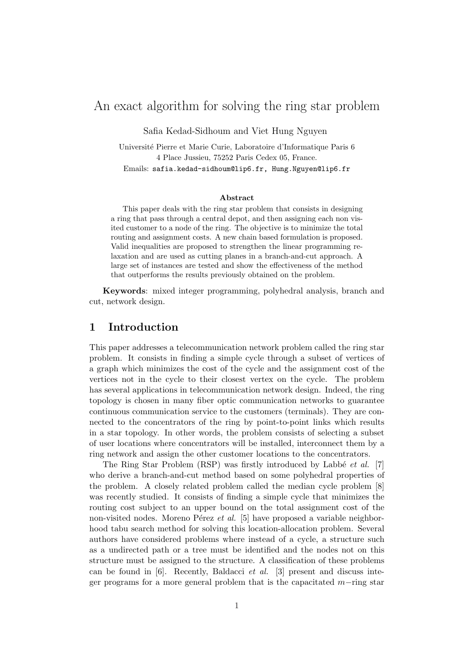# An exact algorithm for solving the ring star problem

Safia Kedad-Sidhoum and Viet Hung Nguyen

Universit´e Pierre et Marie Curie, Laboratoire d'Informatique Paris 6 4 Place Jussieu, 75252 Paris Cedex 05, France. Emails: safia.kedad-sidhoum@lip6.fr, Hung.Nguyen@lip6.fr

#### Abstract

This paper deals with the ring star problem that consists in designing a ring that pass through a central depot, and then assigning each non visited customer to a node of the ring. The objective is to minimize the total routing and assignment costs. A new chain based formulation is proposed. Valid inequalities are proposed to strengthen the linear programming relaxation and are used as cutting planes in a branch-and-cut approach. A large set of instances are tested and show the effectiveness of the method that outperforms the results previously obtained on the problem.

Keywords: mixed integer programming, polyhedral analysis, branch and cut, network design.

## 1 Introduction

This paper addresses a telecommunication network problem called the ring star problem. It consists in finding a simple cycle through a subset of vertices of a graph which minimizes the cost of the cycle and the assignment cost of the vertices not in the cycle to their closest vertex on the cycle. The problem has several applications in telecommunication network design. Indeed, the ring topology is chosen in many fiber optic communication networks to guarantee continuous communication service to the customers (terminals). They are connected to the concentrators of the ring by point-to-point links which results in a star topology. In other words, the problem consists of selecting a subset of user locations where concentrators will be installed, interconnect them by a ring network and assign the other customer locations to the concentrators.

The Ring Star Problem (RSP) was firstly introduced by Labbé  $et \ al.$  [7] who derive a branch-and-cut method based on some polyhedral properties of the problem. A closely related problem called the median cycle problem [8] was recently studied. It consists of finding a simple cycle that minimizes the routing cost subject to an upper bound on the total assignment cost of the non-visited nodes. Moreno Pérez et al. [5] have proposed a variable neighborhood tabu search method for solving this location-allocation problem. Several authors have considered problems where instead of a cycle, a structure such as a undirected path or a tree must be identified and the nodes not on this structure must be assigned to the structure. A classification of these problems can be found in  $[6]$ . Recently, Baldacci *et al.*  $[3]$  present and discuss integer programs for a more general problem that is the capacitated m−ring star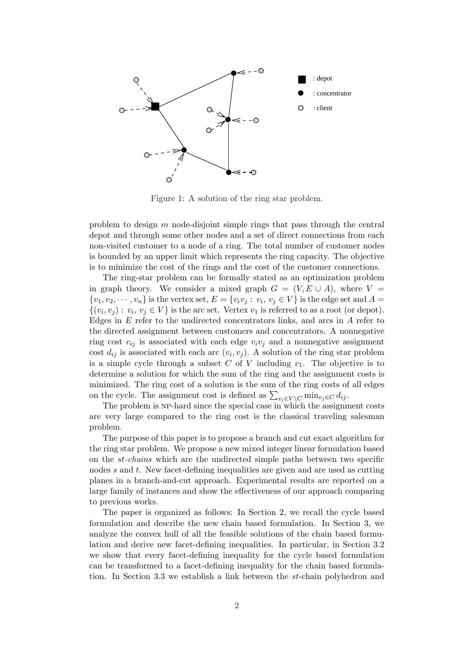

Figure 1: A solution of the ring star problem.

problem to design m node-disjoint simple rings that pass through the central depot and through some other nodes and a set of direct connections from each non-visited customer to a node of a ring. The total number of customer nodes is bounded by an upper limit which represents the ring capacity. The objective is to minimize the cost of the rings and the cost of the customer connections.

The ring-star problem can be formally stated as an optimization problem in graph theory. We consider a mixed graph  $G = (V, E \cup A)$ , where  $V =$  $\{v_1, v_2, \cdots, v_n\}$  is the vertex set,  $E = \{v_i v_j : v_i, v_j \in V\}$  is the edge set and  $A =$  $\{(v_i, v_j) : v_i, v_j \in V\}$  is the arc set. Vertex  $v_1$  is referred to as a root (or depot). Edges in  $E$  refer to the undirected concentrators links, and arcs in  $A$  refer to the directed assignment between customers and concentrators. A nonnegative ring cost  $c_{ij}$  is associated with each edge  $v_i v_j$  and a nonnegative assignment cost  $d_{ij}$  is associated with each arc  $(v_i, v_j)$ . A solution of the ring star problem is a simple cycle through a subset C of V including  $v_1$ . The objective is to determine a solution for which the sum of the ring and the assignment costs is minimized. The ring cost of a solution is the sum of the ring costs of all edges minimized. The ring cost or a solution is the sum or the ring costs of on the cycle. The assignment cost is defined as  $\sum_{v_i \in V \setminus C} \min_{v_j \in C} d_{ij}$ .

The problem is np-hard since the special case in which the assignment costs are very large compared to the ring cost is the classical traveling salesman problem.

The purpose of this paper is to propose a branch and cut exact algorithm for the ring star problem. We propose a new mixed integer linear formulation based on the st-chains which are the undirected simple paths between two specific nodes  $s$  and  $t$ . New facet-defining inequalities are given and are used as cutting planes in a branch-and-cut approach. Experimental results are reported on a large family of instances and show the effectiveness of our approach comparing to previous works.

The paper is organized as follows: In Section 2, we recall the cycle based formulation and describe the new chain based formulation. In Section 3, we analyze the convex hull of all the feasible solutions of the chain based formulation and derive new facet-defining inequalities. In particular, in Section 3.2 we show that every facet-defining inequality for the cycle based formulation can be transformed to a facet-defining inequality for the chain based formulation. In Section 3.3 we establish a link between the st-chain polyhedron and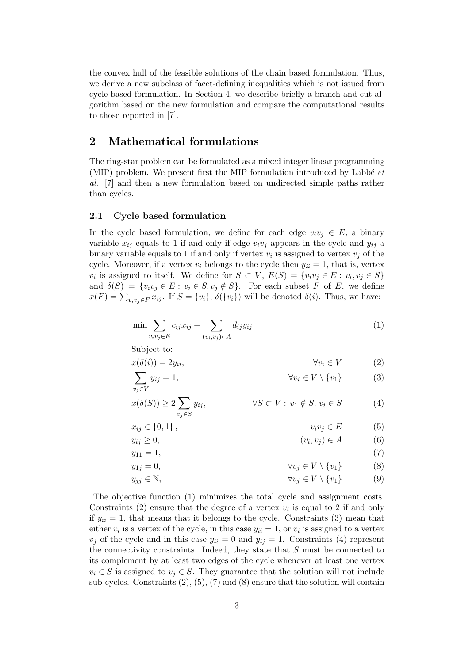the convex hull of the feasible solutions of the chain based formulation. Thus, we derive a new subclass of facet-defining inequalities which is not issued from cycle based formulation. In Section 4, we describe briefly a branch-and-cut algorithm based on the new formulation and compare the computational results to those reported in [7].

## 2 Mathematical formulations

The ring-star problem can be formulated as a mixed integer linear programming (MIP) problem. We present first the MIP formulation introduced by Labbé  $et$ al. [7] and then a new formulation based on undirected simple paths rather than cycles.

## 2.1 Cycle based formulation

In the cycle based formulation, we define for each edge  $v_i v_j \in E$ , a binary variable  $x_{ij}$  equals to 1 if and only if edge  $v_i v_j$  appears in the cycle and  $y_{ij}$  a binary variable equals to 1 if and only if vertex  $v_i$  is assigned to vertex  $v_j$  of the cycle. Moreover, if a vertex  $v_i$  belongs to the cycle then  $y_{ii} = 1$ , that is, vertex  $v_i$  is assigned to itself. We define for  $S \subset V$ ,  $E(S) = \{v_i v_j \in E : v_i, v_j \in S\}$ and  $\delta(S) = \{v_i v_j \in E : v_i \in S, v_j \notin S\}$ . For each subset F of E, we define and  $v(S) = \{v_i v_j \in E : v_i \in S, v_j \notin S\}$ . For each subset F of E, we define  $x(F) = \sum_{v_i v_j \in F} x_{ij}$ . If  $S = \{v_i\}, \delta(\{v_i\})$  will be denoted  $\delta(i)$ . Thus, we have:

$$
\min \sum_{v_i v_j \in E} c_{ij} x_{ij} + \sum_{(v_i, v_j) \in A} d_{ij} y_{ij} \tag{1}
$$

Subject to:

$$
x(\delta(i)) = 2y_{ii}, \qquad \forall v_i \in V \tag{2}
$$

$$
\sum y_{ij} = 1, \qquad \qquad \forall v_i \in V \setminus \{v_1\} \qquad (3)
$$

$$
v_j \in V
$$
  
 
$$
x(\delta(S)) \ge 2 \sum_{v_j \in S} y_{ij}, \qquad \forall S \subset V : v_1 \notin S, v_i \in S
$$
 (4)

$$
x_{ij} \in \{0, 1\}, \qquad v_i v_j \in E \tag{5}
$$

$$
y_{ij} \ge 0, \qquad (v_i, v_j) \in A \tag{6}
$$

$$
y_{11} = 1,\t\t(7)
$$

$$
y_{1j} = 0, \qquad \qquad \forall v_j \in V \setminus \{v_1\} \tag{8}
$$

$$
y_{jj} \in \mathbb{N}, \qquad \forall v_j \in V \setminus \{v_1\} \tag{9}
$$

The objective function (1) minimizes the total cycle and assignment costs. Constraints (2) ensure that the degree of a vertex  $v_i$  is equal to 2 if and only if  $y_{ii} = 1$ , that means that it belongs to the cycle. Constraints (3) mean that either  $v_i$  is a vertex of the cycle, in this case  $y_{ii} = 1$ , or  $v_i$  is assigned to a vertex  $v_j$  of the cycle and in this case  $y_{ii} = 0$  and  $y_{ij} = 1$ . Constraints (4) represent the connectivity constraints. Indeed, they state that S must be connected to its complement by at least two edges of the cycle whenever at least one vertex  $v_i \in S$  is assigned to  $v_j \in S$ . They guarantee that the solution will not include sub-cycles. Constraints  $(2)$ ,  $(5)$ ,  $(7)$  and  $(8)$  ensure that the solution will contain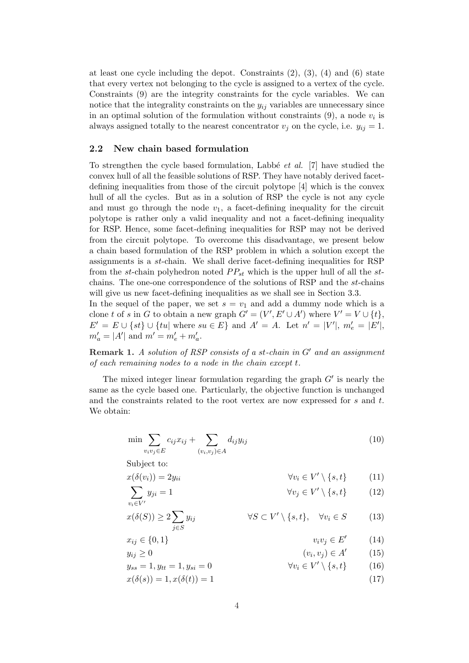at least one cycle including the depot. Constraints  $(2)$ ,  $(3)$ ,  $(4)$  and  $(6)$  state that every vertex not belonging to the cycle is assigned to a vertex of the cycle. Constraints (9) are the integrity constraints for the cycle variables. We can notice that the integrality constraints on the  $y_{ij}$  variables are unnecessary since in an optimal solution of the formulation without constraints  $(9)$ , a node  $v_i$  is always assigned totally to the nearest concentrator  $v_j$  on the cycle, i.e.  $y_{ij} = 1$ .

### 2.2 New chain based formulation

To strengthen the cycle based formulation, Labbé *et al.* [7] have studied the convex hull of all the feasible solutions of RSP. They have notably derived facetdefining inequalities from those of the circuit polytope [4] which is the convex hull of all the cycles. But as in a solution of RSP the cycle is not any cycle and must go through the node  $v_1$ , a facet-defining inequality for the circuit polytope is rather only a valid inequality and not a facet-defining inequality for RSP. Hence, some facet-defining inequalities for RSP may not be derived from the circuit polytope. To overcome this disadvantage, we present below a chain based formulation of the RSP problem in which a solution except the assignments is a st-chain. We shall derive facet-defining inequalities for RSP from the st-chain polyhedron noted  $PP_{st}$  which is the upper hull of all the stchains. The one-one correspondence of the solutions of RSP and the st-chains will give us new facet-defining inequalities as we shall see in Section 3.3.

In the sequel of the paper, we set  $s = v_1$  and add a dummy node which is a clone t of s in G to obtain a new graph  $G' = (V', E' \cup A')$  where  $V' = V \cup \{t\},\$  $E' = E \cup \{st\} \cup \{tu | \text{ where } su \in E \} \text{ and } A' = A. \text{ Let } n' = |V'|, m'_e = |E'|,$  $m'_a = |A'|$  and  $m' = m'_e + m'_a$ .

**Remark 1.** A solution of RSP consists of a st-chain in  $G'$  and an assignment of each remaining nodes to a node in the chain except t.

The mixed integer linear formulation regarding the graph  $G'$  is nearly the same as the cycle based one. Particularly, the objective function is unchanged and the constraints related to the root vertex are now expressed for s and t. We obtain:

$$
\min \sum_{v_i v_j \in E} c_{ij} x_{ij} + \sum_{(v_i, v_j) \in A} d_{ij} y_{ij}
$$
\n
$$
(10)
$$

Subject to:

$$
x(\delta(v_i)) = 2y_{ii} \qquad \forall v_i \in V' \setminus \{s, t\} \tag{11}
$$

$$
y_{ji} = 1 \qquad \qquad \forall v_j \in V' \setminus \{s, t\} \qquad (12)
$$

$$
v_i \in V'
$$
  

$$
x(\delta(S)) \ge 2 \sum_{j \in S} y_{ij} \qquad \forall S \subset V' \setminus \{s, t\}, \quad \forall v_i \in S
$$
 (13)

$$
x_{ij} \in \{0, 1\} \qquad v_i v_j \in E' \qquad (14)
$$

$$
y_{ij} \ge 0 \qquad (v_i, v_j) \in A' \qquad (15)
$$

- $y_{ss} = 1, y_{tt} = 1, y_{si} = 0$  $\setminus \{s, t\}$  (16)
- $x(\delta(s)) = 1, x(\delta(t)) = 1$  (17)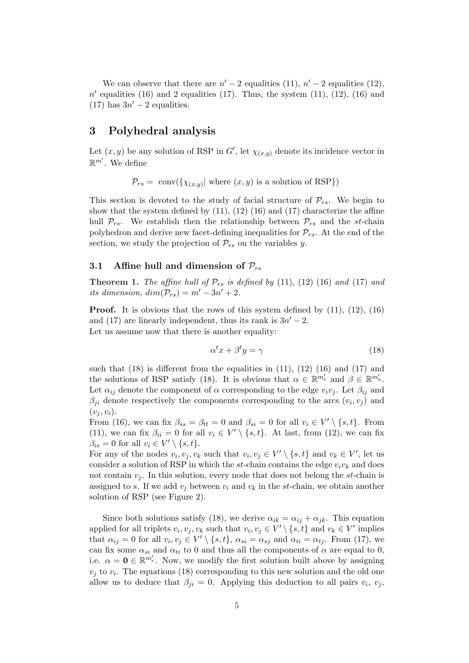We can observe that there are  $n' - 2$  equalities (11),  $n' - 2$  equalities (12),  $n'$  equalities (16) and 2 equalities (17). Thus, the system (11), (12), (16) and (17) has  $3n' - 2$  equalities.

## 3 Polyhedral analysis

Let  $(x, y)$  be any solution of RSP in G', let  $\chi_{(x,y)}$  denote its incidence vector in  $\mathbb{R}^{m'}$ . We define

 $\mathcal{P}_{rs} = \text{ conv}(\{\chi_{(x,y)} | \text{ where } (x,y) \text{ is a solution of RSP }\})$ 

This section is devoted to the study of facial structure of  $\mathcal{P}_{rs}$ . We begin to show that the system defined by  $(11)$ ,  $(12)$   $(16)$  and  $(17)$  characterize the affine hull  $\mathcal{P}_{rs}$ . We establish then the relationship between  $\mathcal{P}_{rs}$  and the st-chain polyhedron and derive new facet-defining inequalities for  $\mathcal{P}_{rs}$ . At the end of the section, we study the projection of  $\mathcal{P}_{rs}$  on the variables y.

### 3.1 Affine hull and dimension of  $P_{rs}$

**Theorem 1.** The affine hull of  $\mathcal{P}_{rs}$  is defined by (11), (12) (16) and (17) and its dimension,  $dim(\mathcal{P}_{rs}) = m' - 3n' + 2$ .

**Proof.** It is obvious that the rows of this system defined by  $(11)$ ,  $(12)$ ,  $(16)$ and (17) are linearly independent, thus its rank is  $3n' - 2$ . Let us assume now that there is another equality:

$$
\alpha^t x + \beta^t y = \gamma \tag{18}
$$

such that  $(18)$  is different from the equalities in  $(11)$ ,  $(12)$   $(16)$  and  $(17)$  and the solutions of RSP satisfy (18). It is obvious that  $\alpha \in \mathbb{R}^{m'_e}$  and  $\beta \in \mathbb{R}^{m'_a}$ . Let  $\alpha_{ij}$  denote the component of  $\alpha$  corresponding to the edge  $v_i v_j$ . Let  $\beta_{ij}$  and  $\beta_{ji}$  denote respectively the components corresponding to the arcs  $(v_i, v_j)$  and  $(v_i, v_i)$ .

From (16), we can fix  $\beta_{ss} = \beta_{tt} = 0$  and  $\beta_{si} = 0$  for all  $v_i \in V' \setminus \{s, t\}$ . From (11), we can fix  $\beta_{ii} = 0$  for all  $v_i \in V' \setminus \{s, t\}$ . At last, from (12), we can fix  $\beta_{is} = 0$  for all  $v_i \in V' \setminus \{s, t\}.$ 

For any of the nodes  $v_i, v_j, v_k$  such that  $v_i, v_j \in V' \setminus \{s, t\}$  and  $v_k \in V'$ , let us consider a solution of RSP in which the st-chain contains the edge  $v_i v_k$  and does not contain  $v_j$ . In this solution, every node that does not belong the st-chain is assigned to s. If we add  $v_i$  between  $v_i$  and  $v_k$  in the st-chain, we obtain another solution of RSP (see Figure 2).

Since both solutions satisfy (18), we derive  $\alpha_{ik} = \alpha_{ij} + \alpha_{jk}$ . This equation applied for all triplets  $v_i, v_j, v_k$  such that  $v_i, v_j \in V' \setminus \{s, t\}$  and  $v_k \in V'$  implies that  $\alpha_{ij} = 0$  for all  $v_i, v_j \in V' \setminus \{s, t\}, \alpha_{si} = \alpha_{sj}$  and  $\alpha_{ti} = \alpha_{tj}$ . From (17), we can fix some  $\alpha_{si}$  and  $\alpha_{ti}$  to 0 and thus all the components of  $\alpha$  are equal to 0, i.e.  $\alpha = \mathbf{0} \in \mathbb{R}^{m'_{e}}$ . Now, we modify the first solution built above by assigning  $v_j$  to  $v_i$ . The equations (18) corresponding to this new solution and the old one allow us to deduce that  $\beta_{ji} = 0$ . Applying this deduction to all pairs  $v_i$ ,  $v_j$ ,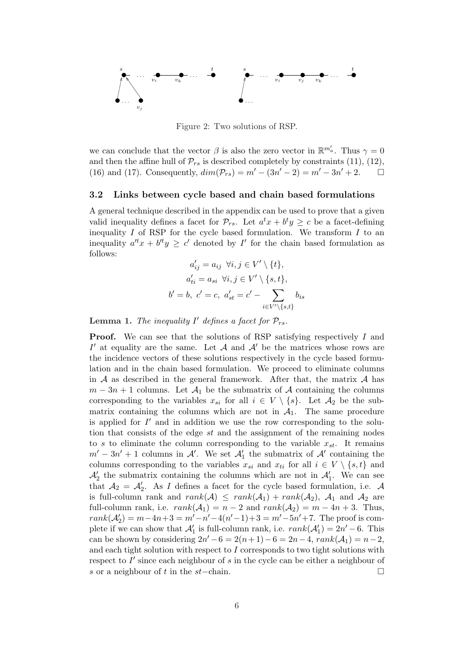

Figure 2: Two solutions of RSP.

we can conclude that the vector  $\beta$  is also the zero vector in  $\mathbb{R}^{m'_a}$ . Thus  $\gamma = 0$ and then the affine hull of  $\mathcal{P}_{rs}$  is described completely by constraints (11), (12), (16) and (17). Consequently,  $dim(\mathcal{P}_{rs}) = m' - (3n' - 2) = m' - 3n' + 2$ .  $\Box$ 

### 3.2 Links between cycle based and chain based formulations

A general technique described in the appendix can be used to prove that a given valid inequality defines a facet for  $\mathcal{P}_{rs}$ . Let  $a^t x + b^t y \geq c$  be a facet-defining inequality  $I$  of RSP for the cycle based formulation. We transform  $I$  to an inequality  $a^{t}x + b^{t}y \geq c'$  denoted by I' for the chain based formulation as follows:

$$
a'_{ij} = a_{ij} \ \forall i, j \in V' \setminus \{t\},
$$
  
\n
$$
a'_{ti} = a_{si} \ \forall i, j \in V' \setminus \{s, t\},
$$
  
\n
$$
b' = b, \ c' = c, \ a'_{st} = c' - \sum_{i \in V' \setminus \{s, t\}} b_{is}
$$

**Lemma 1.** The inequality  $I'$  defines a facet for  $\mathcal{P}_{rs}$ .

**Proof.** We can see that the solutions of RSP satisfying respectively I and I' at equality are the same. Let  $A$  and  $A'$  be the matrices whose rows are the incidence vectors of these solutions respectively in the cycle based formulation and in the chain based formulation. We proceed to eliminate columns in  $A$  as described in the general framework. After that, the matrix  $A$  has  $m-3n+1$  columns. Let  $\mathcal{A}_1$  be the submatrix of  $\mathcal A$  containing the columns corresponding to the variables  $x_{si}$  for all  $i \in V \setminus \{s\}$ . Let  $\mathcal{A}_2$  be the submatrix containing the columns which are not in  $A_1$ . The same procedure is applied for  $I'$  and in addition we use the row corresponding to the solution that consists of the edge st and the assignment of the remaining nodes to s to eliminate the column corresponding to the variable  $x_{st}$ . It remains  $m' - 3n' + 1$  columns in A'. We set  $\mathcal{A}'_1$  the submatrix of A' containing the columns corresponding to the variables  $x_{si}$  and  $x_{ti}$  for all  $i \in V \setminus \{s, t\}$  and  $\mathcal{A}'_2$  the submatrix containing the columns which are not in  $\mathcal{A}'_1$ . We can see that  $A_2 = A'_2$ . As I defines a facet for the cycle based formulation, i.e. A is full-column rank and  $rank(\mathcal{A}) \leq rank(\mathcal{A}_1) + rank(\mathcal{A}_2)$ ,  $\mathcal{A}_1$  and  $\mathcal{A}_2$  are full-column rank, i.e.  $rank(\mathcal{A}_1) = n - 2$  and  $rank(\mathcal{A}_2) = m - 4n + 3$ . Thus,  $rank(\mathcal{A}'_2) = m - 4n + 3 = m' - n' - 4(n' - 1) + 3 = m' - 5n' + 7$ . The proof is complete if we can show that  $\mathcal{A}'_1$  is full-column rank, i.e.  $rank(\mathcal{A}'_1) = 2n' - 6$ . This can be shown by considering  $2n' - 6 = 2(n+1) - 6 = 2n - 4$ ,  $rank(\mathcal{A}_1) = n - 2$ , and each tight solution with respect to I corresponds to two tight solutions with respect to  $I'$  since each neighbour of s in the cycle can be either a neighbour of s or a neighbour of t in the st-chain.  $\Box$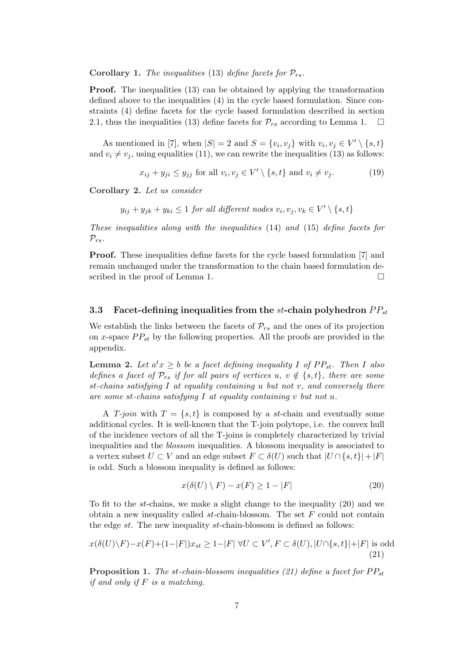Corollary 1. The inequalities (13) define facets for  $\mathcal{P}_{rs}$ .

**Proof.** The inequalities (13) can be obtained by applying the transformation defined above to the inequalities (4) in the cycle based formulation. Since constraints (4) define facets for the cycle based formulation described in section 2.1, thus the inequalities (13) define facets for  $\mathcal{P}_{rs}$  according to Lemma 1.  $\Box$ 

As mentioned in [7], when  $|S| = 2$  and  $S = \{v_i, v_j\}$  with  $v_i, v_j \in V' \setminus \{s, t\}$ and  $v_i \neq v_j$ , using equalities (11), we can rewrite the inequalities (13) as follows:

$$
x_{ij} + y_{ji} \le y_{jj} \text{ for all } v_i, v_j \in V' \setminus \{s, t\} \text{ and } v_i \ne v_j. \tag{19}
$$

Corollary 2. Let us consider

 $y_{ij} + y_{jk} + y_{ki} \leq 1$  for all different nodes  $v_i, v_j, v_k \in V' \setminus \{s, t\}$ 

These inequalities along with the inequalities (14) and (15) define facets for  $\mathcal{P}_{rs}$ .

Proof. These inequalities define facets for the cycle based formulation [7] and remain unchanged under the transformation to the chain based formulation described in the proof of Lemma 1.  $\Box$ 

## 3.3 Facet-defining inequalities from the st-chain polyhedron  $PP_{st}$

We establish the links between the facets of  $\mathcal{P}_{rs}$  and the ones of its projection on x-space  $PP_{st}$  by the following properties. All the proofs are provided in the appendix.

**Lemma 2.** Let  $a^t x \geq b$  be a facet defining inequality I of  $PP_{st}$ . Then I also defines a facet of  $\mathcal{P}_{rs}$  if for all pairs of vertices u,  $v \notin \{s, t\}$ , there are some st-chains satisfying I at equality containing u but not v, and conversely there are some st-chains satisfying I at equality containing v but not u.

A T-join with  $T = \{s, t\}$  is composed by a st-chain and eventually some additional cycles. It is well-known that the T-join polytope, i.e. the convex hull of the incidence vectors of all the T-joins is completely characterized by trivial inequalities and the blossom inequalities. A blossom inequality is associated to a vertex subset  $U \subset V$  and an edge subset  $F \subset \delta(U)$  such that  $|U \cap \{s,t\}| + |F|$ is odd. Such a blossom inequality is defined as follows:

$$
x(\delta(U) \setminus F) - x(F) \ge 1 - |F| \tag{20}
$$

To fit to the st-chains, we make a slight change to the inequality  $(20)$  and we obtain a new inequality called  $st$ -chain-blossom. The set  $F$  could not contain the edge st. The new inequality st-chain-blossom is defined as follows:

$$
x(\delta(U)\backslash F) - x(F) + (1 - |F|)x_{st} \ge 1 - |F| \,\forall U \subset V', F \subset \delta(U), |U \cap \{s, t\}| + |F| \text{ is odd} \tag{21}
$$

**Proposition 1.** The st-chain-blossom inequalities (21) define a facet for  $PP_{st}$ if and only if  $F$  is a matching.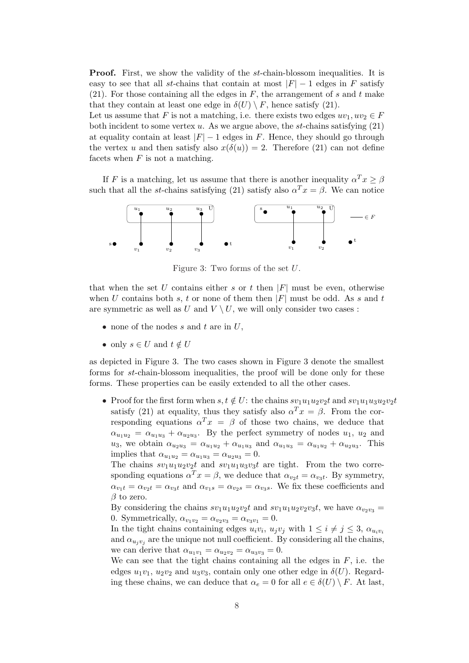**Proof.** First, we show the validity of the st-chain-blossom inequalities. It is easy to see that all st-chains that contain at most  $|F| - 1$  edges in F satisfy (21). For those containing all the edges in  $F$ , the arrangement of s and t make that they contain at least one edge in  $\delta(U) \setminus F$ , hence satisfy (21).

Let us assume that F is not a matching, i.e. there exists two edges  $uv_1, uv_2 \in F$ both incident to some vertex u. As we argue above, the  $st$ -chains satisfying  $(21)$ at equality contain at least  $|F| - 1$  edges in F. Hence, they should go through the vertex u and then satisfy also  $x(\delta(u)) = 2$ . Therefore (21) can not define facets when  $F$  is not a matching.

If F is a matching, let us assume that there is another inequality  $\alpha^T x \geq \beta$ such that all the st-chains satisfying (21) satisfy also  $\alpha^T x = \beta$ . We can notice



Figure 3: Two forms of the set U.

that when the set U contains either s or t then  $|F|$  must be even, otherwise when U contains both s, t or none of them then  $|F|$  must be odd. As s and t are symmetric as well as U and  $V \setminus U$ , we will only consider two cases :

- none of the nodes s and t are in  $U$ .
- only  $s \in U$  and  $t \notin U$

as depicted in Figure 3. The two cases shown in Figure 3 denote the smallest forms for st-chain-blossom inequalities, the proof will be done only for these forms. These properties can be easily extended to all the other cases.

• Proof for the first form when  $s, t \notin U$ : the chains  $sv_1u_1u_2v_2t$  and  $sv_1u_1u_3u_2v_2t$ satisfy (21) at equality, thus they satisfy also  $\alpha^T x = \beta$ . From the corresponding equations  $\alpha^T x = \beta$  of those two chains, we deduce that  $\alpha_{u_1u_2} = \alpha_{u_1u_3} + \alpha_{u_2u_3}$ . By the perfect symmetry of nodes  $u_1, u_2$  and u<sub>3</sub>, we obtain  $\alpha_{u_2u_3} = \alpha_{u_1u_2} + \alpha_{u_1u_3}$  and  $\alpha_{u_1u_3} = \alpha_{u_1u_2} + \alpha_{u_2u_3}$ . This implies that  $\alpha_{u_1u_2} = \alpha_{u_1u_3} = \alpha_{u_2u_3} = 0.$ 

The chains  $sv_1u_1u_2v_2t$  and  $sv_1u_1u_3v_3t$  are tight. From the two corresponding equations  $\alpha^T x = \beta$ , we deduce that  $\alpha_{v_2t} = \alpha_{v_3t}$ . By symmetry,  $\alpha_{v_1t} = \alpha_{v_2t} = \alpha_{v_3t}$  and  $\alpha_{v_1s} = \alpha_{v_2s} = \alpha_{v_3s}$ . We fix these coefficients and  $\beta$  to zero.

By considering the chains  $sv_1u_1u_2v_2t$  and  $sv_1u_1u_2v_2v_3t$ , we have  $\alpha_{v_2v_3} =$ 0. Symmetrically,  $\alpha_{v_1v_2} = \alpha_{v_2v_3} = \alpha_{v_3v_1} = 0.$ 

In the tight chains containing edges  $u_i v_i$ ,  $u_j v_j$  with  $1 \leq i \neq j \leq 3$ ,  $\alpha_{u_i v_i}$ and  $\alpha_{u_jv_j}$  are the unique not null coefficient. By considering all the chains, we can derive that  $\alpha_{u_1v_1} = \alpha_{u_2v_2} = \alpha_{u_3v_3} = 0.$ 

We can see that the tight chains containing all the edges in  $F$ , i.e. the edges  $u_1v_1$ ,  $u_2v_2$  and  $u_3v_3$ , contain only one other edge in  $\delta(U)$ . Regarding these chains, we can deduce that  $\alpha_e = 0$  for all  $e \in \delta(U) \setminus F$ . At last,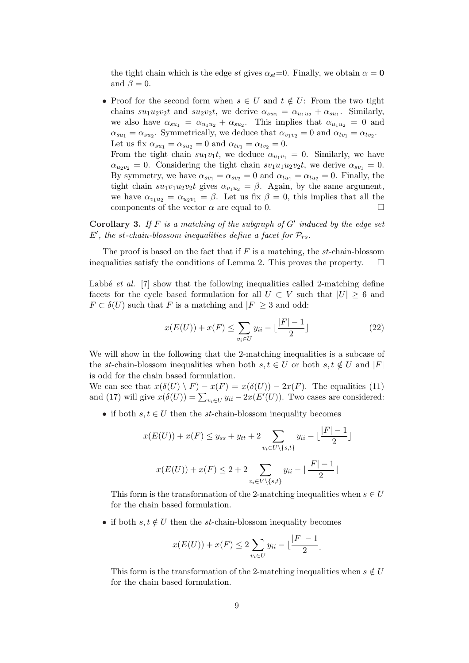the tight chain which is the edge st gives  $\alpha_{st}=0$ . Finally, we obtain  $\alpha = 0$ and  $\beta = 0$ .

• Proof for the second form when  $s \in U$  and  $t \notin U$ : From the two tight chains  $su_1u_2v_2t$  and  $su_2v_2t$ , we derive  $\alpha_{su_2} = \alpha_{u_1u_2} + \alpha_{su_1}$ . Similarly, we also have  $\alpha_{su_1} = \alpha_{u_1u_2} + \alpha_{su_2}$ . This implies that  $\alpha_{u_1u_2} = 0$  and  $\alpha_{su_1} = \alpha_{su_2}$ . Symmetrically, we deduce that  $\alpha_{v_1v_2} = 0$  and  $\alpha_{tv_1} = \alpha_{tv_2}$ . Let us fix  $\alpha_{su_1} = \alpha_{su_2} = 0$  and  $\alpha_{tv_1} = \alpha_{tv_2} = 0$ . From the tight chain  $su_1v_1t$ , we deduce  $\alpha_{u_1v_1} = 0$ . Similarly, we have

 $\alpha_{u_2v_2} = 0$ . Considering the tight chain  $sv_1u_1u_2v_2t$ , we derive  $\alpha_{sv_1} = 0$ . By symmetry, we have  $\alpha_{sv_1} = \alpha_{sv_2} = 0$  and  $\alpha_{tu_1} = \alpha_{tu_2} = 0$ . Finally, the tight chain  $su_1v_1u_2v_2t$  gives  $\alpha_{v_1u_2} = \beta$ . Again, by the same argument, we have  $\alpha_{v_1u_2} = \alpha_{u_2v_1} = \beta$ . Let us fix  $\beta = 0$ , this implies that all the components of the vector  $\alpha$  are equal to 0.

Corollary 3. If  $F$  is a matching of the subgraph of  $G'$  induced by the edge set  $E'$ , the st-chain-blossom inequalities define a facet for  $\mathcal{P}_{rs}$ .

The proof is based on the fact that if  $F$  is a matching, the st-chain-blossom inequalities satisfy the conditions of Lemma 2. This proves the property.  $\Box$ 

Labbé *et al.* [7] show that the following inequalities called 2-matching define facets for the cycle based formulation for all  $U \subset V$  such that  $|U| \geq 6$  and  $F \subset \delta(U)$  such that F is a matching and  $|F| \geq 3$  and odd:

$$
x(E(U)) + x(F) \le \sum_{v_i \in U} y_{ii} - \lfloor \frac{|F| - 1}{2} \rfloor \tag{22}
$$

We will show in the following that the 2-matching inequalities is a subcase of the st-chain-blossom inequalities when both  $s, t \in U$  or both  $s, t \notin U$  and  $|F|$ is odd for the chain based formulation.

We can see that  $x(\delta(U) \setminus F) - x(F) = x(\delta(U)) - 2x(F)$ . The equalities (11) we can see that  $x(\theta(U) \setminus F) = x(F) = x(\theta(U)) - 2x(F)$ . The equalities (11)<br>and (17) will give  $x(\delta(U)) = \sum_{v_i \in U} y_{ii} - 2x(E'(U))$ . Two cases are considered:

• if both  $s, t \in U$  then the st-chain-blossom inequality becomes

$$
x(E(U)) + x(F) \le y_{ss} + y_{tt} + 2 \sum_{v_i \in U \setminus \{s,t\}} y_{ii} - \lfloor \frac{|F| - 1}{2} \rfloor
$$

$$
x(E(U)) + x(F) \le 2 + 2 \sum_{v_i \in V \setminus \{s,t\}} y_{ii} - \lfloor \frac{|F| - 1}{2} \rfloor
$$

This form is the transformation of the 2-matching inequalities when  $s \in U$ for the chain based formulation.

• if both  $s, t \notin U$  then the st-chain-blossom inequality becomes

$$
x(E(U)) + x(F) \le 2\sum_{v_i \in U} y_{ii} - \lfloor \frac{|F| - 1}{2} \rfloor
$$

This form is the transformation of the 2-matching inequalities when  $s \notin U$ for the chain based formulation.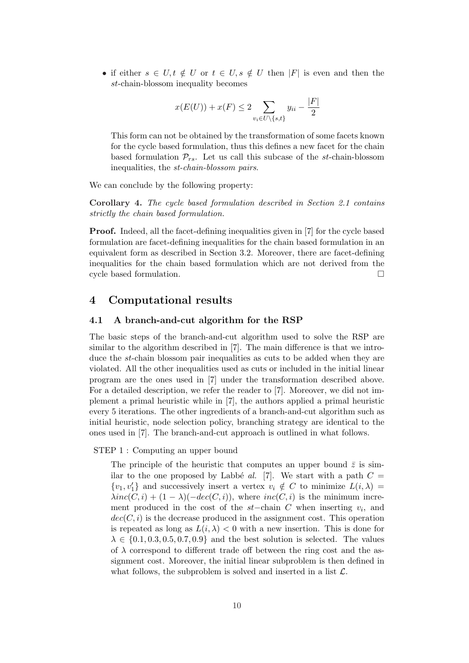• if either  $s \in U, t \notin U$  or  $t \in U, s \notin U$  then  $|F|$  is even and then the st-chain-blossom inequality becomes

$$
x(E(U)) + x(F) \le 2 \sum_{v_i \in U \setminus \{s,t\}} y_{ii} - \frac{|F|}{2}
$$

This form can not be obtained by the transformation of some facets known for the cycle based formulation, thus this defines a new facet for the chain based formulation  $\mathcal{P}_{rs}$ . Let us call this subcase of the st-chain-blossom inequalities, the st-chain-blossom pairs.

We can conclude by the following property:

Corollary 4. The cycle based formulation described in Section 2.1 contains strictly the chain based formulation.

Proof. Indeed, all the facet-defining inequalities given in [7] for the cycle based formulation are facet-defining inequalities for the chain based formulation in an equivalent form as described in Section 3.2. Moreover, there are facet-defining inequalities for the chain based formulation which are not derived from the cycle based formulation.  $\Box$ 

## 4 Computational results

### 4.1 A branch-and-cut algorithm for the RSP

The basic steps of the branch-and-cut algorithm used to solve the RSP are similar to the algorithm described in [7]. The main difference is that we introduce the st-chain blossom pair inequalities as cuts to be added when they are violated. All the other inequalities used as cuts or included in the initial linear program are the ones used in [7] under the transformation described above. For a detailed description, we refer the reader to [7]. Moreover, we did not implement a primal heuristic while in [7], the authors applied a primal heuristic every 5 iterations. The other ingredients of a branch-and-cut algorithm such as initial heuristic, node selection policy, branching strategy are identical to the ones used in [7]. The branch-and-cut approach is outlined in what follows.

#### STEP 1 : Computing an upper bound

The principle of the heuristic that computes an upper bound  $\bar{z}$  is similar to the one proposed by Labbé al. [7]. We start with a path  $C =$  $\{v_1, v'_1\}$  and successively insert a vertex  $v_i \notin C$  to minimize  $L(i, \lambda) =$  $\lambda inc(C, i) + (1 - \lambda)(-dec(C, i))$ , where  $inc(C, i)$  is the minimum increment produced in the cost of the  $st$ -chain  $C$  when inserting  $v_i$ , and  $dec(C, i)$  is the decrease produced in the assignment cost. This operation is repeated as long as  $L(i, \lambda) < 0$  with a new insertion. This is done for  $\lambda \in \{0.1, 0.3, 0.5, 0.7, 0.9\}$  and the best solution is selected. The values of  $\lambda$  correspond to different trade off between the ring cost and the assignment cost. Moreover, the initial linear subproblem is then defined in what follows, the subproblem is solved and inserted in a list  $\mathcal{L}$ .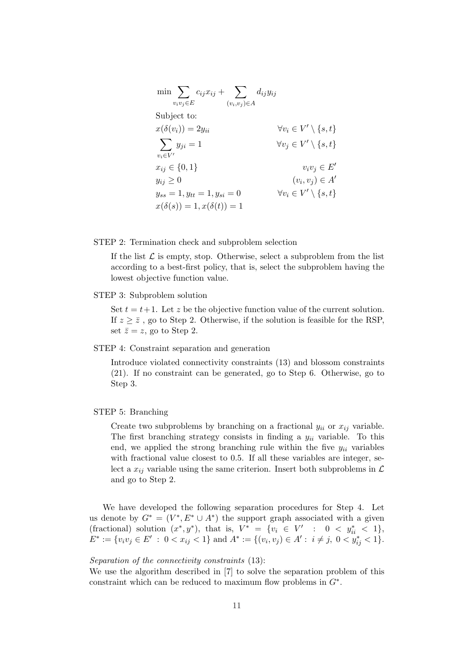$$
\min \sum_{v_i v_j \in E} c_{ij} x_{ij} + \sum_{(v_i, v_j) \in A} d_{ij} y_{ij}
$$
\nSubject to:

\n
$$
x(\delta(v_i)) = 2y_{ii} \qquad \forall v_i \in V' \setminus \{s, t\}
$$
\n
$$
\sum_{v_i \in V'} y_{ji} = 1 \qquad \forall v_j \in V' \setminus \{s, t\}
$$
\n
$$
x_{ij} \in \{0, 1\} \qquad v_i v_j \in E'
$$
\n
$$
y_{ij} \ge 0 \qquad (v_i, v_j) \in A'
$$
\n
$$
y_{ss} = 1, y_{tt} = 1, y_{si} = 0 \qquad \forall v_i \in V' \setminus \{s, t\}
$$
\n
$$
x(\delta(s)) = 1, x(\delta(t)) = 1
$$

STEP 2: Termination check and subproblem selection

If the list  $\mathcal L$  is empty, stop. Otherwise, select a subproblem from the list according to a best-first policy, that is, select the subproblem having the lowest objective function value.

#### STEP 3: Subproblem solution

Set  $t = t+1$ . Let z be the objective function value of the current solution. If  $z \geq \overline{z}$ , go to Step 2. Otherwise, if the solution is feasible for the RSP, set  $\bar{z} = z$ , go to Step 2.

### STEP 4: Constraint separation and generation

Introduce violated connectivity constraints (13) and blossom constraints (21). If no constraint can be generated, go to Step 6. Otherwise, go to Step 3.

#### STEP 5: Branching

Create two subproblems by branching on a fractional  $y_{ii}$  or  $x_{ij}$  variable. The first branching strategy consists in finding a  $y_{ii}$  variable. To this end, we applied the strong branching rule within the five  $y_{ii}$  variables with fractional value closest to 0.5. If all these variables are integer, select a  $x_{ij}$  variable using the same criterion. Insert both subproblems in  $\mathcal L$ and go to Step 2.

We have developed the following separation procedures for Step 4. Let us denote by  $G^* = (V^*, E^* \cup A^*)$  the support graph associated with a given (fractional) solution  $(x^*, y^*)$ , that is,  $V^* = \{v_i \in V' : 0 < y_{ii}^* < 1\}$ ,  $E^* := \{v_i v_j \in E' : 0 < x_{ij} < 1\}$  and  $A^* := \{(v_i, v_j) \in A' : i \neq j, 0 < y_{ij}^* < 1\}.$ 

#### Separation of the connectivity constraints (13):

We use the algorithm described in [7] to solve the separation problem of this constraint which can be reduced to maximum flow problems in  $G^*$ .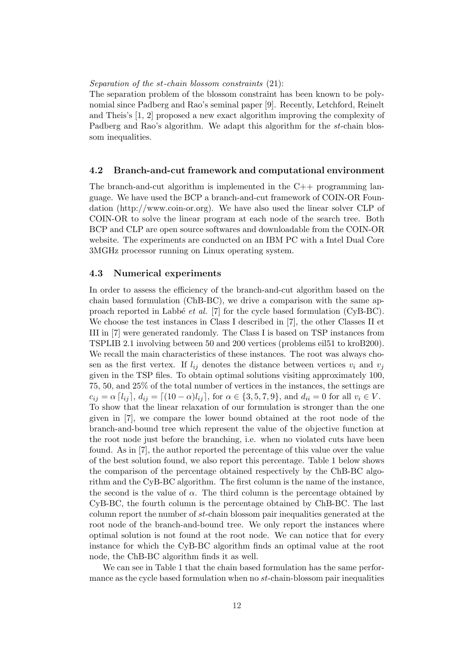#### Separation of the st-chain blossom constraints (21):

The separation problem of the blossom constraint has been known to be polynomial since Padberg and Rao's seminal paper [9]. Recently, Letchford, Reinelt and Theis's [1, 2] proposed a new exact algorithm improving the complexity of Padberg and Rao's algorithm. We adapt this algorithm for the st-chain blossom inequalities.

### 4.2 Branch-and-cut framework and computational environment

The branch-and-cut algorithm is implemented in the  $C++$  programming language. We have used the BCP a branch-and-cut framework of COIN-OR Foundation (http://www.coin-or.org). We have also used the linear solver CLP of COIN-OR to solve the linear program at each node of the search tree. Both BCP and CLP are open source softwares and downloadable from the COIN-OR website. The experiments are conducted on an IBM PC with a Intel Dual Core 3MGHz processor running on Linux operating system.

### 4.3 Numerical experiments

In order to assess the efficiency of the branch-and-cut algorithm based on the chain based formulation (ChB-BC), we drive a comparison with the same approach reported in Labbé *et al.* [7] for the cycle based formulation (CyB-BC). We choose the test instances in Class I described in [7], the other Classes II et III in [7] were generated randomly. The Class I is based on TSP instances from TSPLIB 2.1 involving between 50 and 200 vertices (problems eil51 to kroB200). We recall the main characteristics of these instances. The root was always chosen as the first vertex. If  $l_{ij}$  denotes the distance between vertices  $v_i$  and  $v_j$ given in the TSP files. To obtain optimal solutions visiting approximately 100, 75, 50, and 25% of the total number of vertices in the instances, the settings are  $c_{ij} = \alpha [l_{ij}], d_{ij} = [(10 - \alpha)l_{ij}],$  for  $\alpha \in \{3, 5, 7, 9\}$ , and  $d_{ii} = 0$  for all  $v_i \in V$ . To show that the linear relaxation of our formulation is stronger than the one given in [7], we compare the lower bound obtained at the root node of the branch-and-bound tree which represent the value of the objective function at the root node just before the branching, i.e. when no violated cuts have been found. As in [7], the author reported the percentage of this value over the value of the best solution found, we also report this percentage. Table 1 below shows the comparison of the percentage obtained respectively by the ChB-BC algorithm and the CyB-BC algorithm. The first column is the name of the instance, the second is the value of  $\alpha$ . The third column is the percentage obtained by CyB-BC, the fourth column is the percentage obtained by ChB-BC. The last column report the number of st-chain blossom pair inequalities generated at the root node of the branch-and-bound tree. We only report the instances where optimal solution is not found at the root node. We can notice that for every instance for which the CyB-BC algorithm finds an optimal value at the root node, the ChB-BC algorithm finds it as well.

We can see in Table 1 that the chain based formulation has the same performance as the cycle based formulation when no st-chain-blossom pair inequalities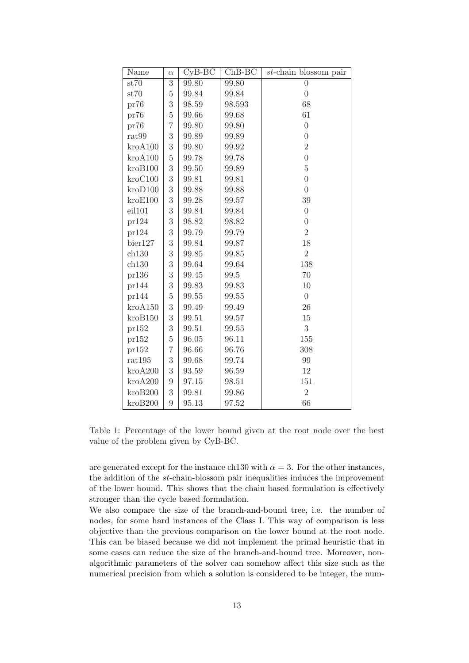| Name             | $\alpha$       | $CyB-BC$ | $ChB-BC$ | $st$ -chain blossom pair |
|------------------|----------------|----------|----------|--------------------------|
| st70             | $\overline{3}$ | 99.80    | 99.80    | $\overline{0}$           |
| st70             | $\overline{5}$ | 99.84    | 99.84    | $\overline{0}$           |
| pr76             | 3              | 98.59    | 98.593   | 68                       |
| pr76             | $\overline{5}$ | 99.66    | 99.68    | 61                       |
| pr76             | $\overline{7}$ | 99.80    | 99.80    | $\overline{0}$           |
| $\mathrm{rat99}$ | 3              | 99.89    | 99.89    | $\overline{0}$           |
| kroA100          | 3              | 99.80    | 99.92    | $\overline{2}$           |
| kroA100          | $\overline{5}$ | 99.78    | 99.78    | $\overline{0}$           |
| kroB100          | 3              | 99.50    | 99.89    | $\bf 5$                  |
| kroC100          | 3              | 99.81    | 99.81    | $\boldsymbol{0}$         |
| kroD100          | 3              | 99.88    | 99.88    | $\overline{0}$           |
| kroE100          | 3              | 99.28    | 99.57    | 39                       |
| eil101           | 3              | 99.84    | 99.84    | $\overline{0}$           |
| pr124            | 3              | 98.82    | 98.82    | $\boldsymbol{0}$         |
| pr124            | 3              | 99.79    | 99.79    | $\overline{2}$           |
| bier127          | 3              | 99.84    | 99.87    | 18                       |
| ch130            | 3              | 99.85    | 99.85    | $\overline{2}$           |
| ch130            | 3              | 99.64    | 99.64    | 138                      |
| pr136            | 3              | 99.45    | 99.5     | 70                       |
| pr144            | 3              | 99.83    | 99.83    | 10                       |
| pr144            | $\overline{5}$ | 99.55    | 99.55    | $\boldsymbol{0}$         |
| kroA150          | 3              | 99.49    | 99.49    | 26                       |
| kroB150          | 3              | 99.51    | 99.57    | $15\,$                   |
| pr152            | 3              | 99.51    | 99.55    | 3                        |
| pr152            | $\overline{5}$ | 96.05    | 96.11    | 155                      |
| pr152            | $\overline{7}$ | 96.66    | 96.76    | 308                      |
| rat195           | 3              | 99.68    | 99.74    | 99                       |
| kroA200          | 3              | 93.59    | 96.59    | 12                       |
| kroA200          | $\overline{9}$ | 97.15    | 98.51    | 151                      |
| kroB200          | 3              | 99.81    | 99.86    | $\overline{2}$           |
| kroB200          | 9              | 95.13    | 97.52    | 66                       |

Table 1: Percentage of the lower bound given at the root node over the best value of the problem given by CyB-BC.

are generated except for the instance ch130 with  $\alpha = 3$ . For the other instances, the addition of the st-chain-blossom pair inequalities induces the improvement of the lower bound. This shows that the chain based formulation is effectively stronger than the cycle based formulation.

We also compare the size of the branch-and-bound tree, i.e. the number of nodes, for some hard instances of the Class I. This way of comparison is less objective than the previous comparison on the lower bound at the root node. This can be biased because we did not implement the primal heuristic that in some cases can reduce the size of the branch-and-bound tree. Moreover, nonalgorithmic parameters of the solver can somehow affect this size such as the numerical precision from which a solution is considered to be integer, the num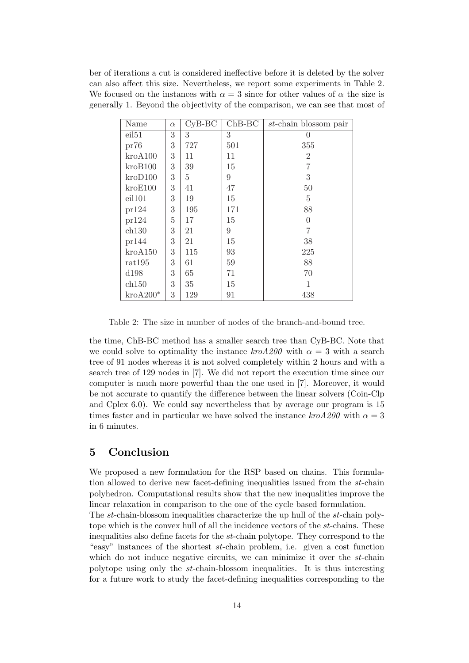ber of iterations a cut is considered ineffective before it is deleted by the solver can also affect this size. Nevertheless, we report some experiments in Table 2. We focused on the instances with  $\alpha = 3$  since for other values of  $\alpha$  the size is generally 1. Beyond the objectivity of the comparison, we can see that most of

| Name               | $\alpha$ | $CyB-BC$ | $ChB-BC$ | st-chain blossom pair |
|--------------------|----------|----------|----------|-----------------------|
| eil <sub>51</sub>  | 3        | 3        | 3        | 0                     |
| pr76               | 3        | 727      | 501      | 355                   |
| $k$ ro $A100$      | 3        | 11       | 11       | $\overline{2}$        |
| kroB100            | 3        | 39       | 15       | 7                     |
| kroD100            | 3        | 5        | 9        | 3                     |
| kroE100            | 3        | 41       | 47       | 50                    |
| eil101             | 3        | 19       | 15       | 5                     |
| pr124              | 3        | 195      | 171      | 88                    |
| pr124              | 5        | 17       | 15       | $\theta$              |
| ch130              | 3        | 21       | 9        | 7                     |
| pr144              | 3        | 21       | 15       | 38                    |
| kroA150            | 3        | 115      | 93       | 225                   |
| rat195             | 3        | 61       | 59       | 88                    |
| d198               | 3        | 65       | 71       | 70                    |
| ch150              | 3        | 35       | 15       | 1                     |
| $k\text{ro}A200^*$ | 3        | 129      | 91       | 438                   |

Table 2: The size in number of nodes of the branch-and-bound tree.

the time, ChB-BC method has a smaller search tree than CyB-BC. Note that we could solve to optimality the instance  $kroA200$  with  $\alpha = 3$  with a search tree of 91 nodes whereas it is not solved completely within 2 hours and with a search tree of 129 nodes in [7]. We did not report the execution time since our computer is much more powerful than the one used in [7]. Moreover, it would be not accurate to quantify the difference between the linear solvers (Coin-Clp and Cplex 6.0). We could say nevertheless that by average our program is 15 times faster and in particular we have solved the instance  $kroA200$  with  $\alpha = 3$ in 6 minutes.

## 5 Conclusion

We proposed a new formulation for the RSP based on chains. This formulation allowed to derive new facet-defining inequalities issued from the st-chain polyhedron. Computational results show that the new inequalities improve the linear relaxation in comparison to the one of the cycle based formulation.

The st-chain-blossom inequalities characterize the up hull of the st-chain polytope which is the convex hull of all the incidence vectors of the st-chains. These inequalities also define facets for the st-chain polytope. They correspond to the "easy" instances of the shortest st-chain problem, i.e. given a cost function which do not induce negative circuits, we can minimize it over the st-chain polytope using only the st-chain-blossom inequalities. It is thus interesting for a future work to study the facet-defining inequalities corresponding to the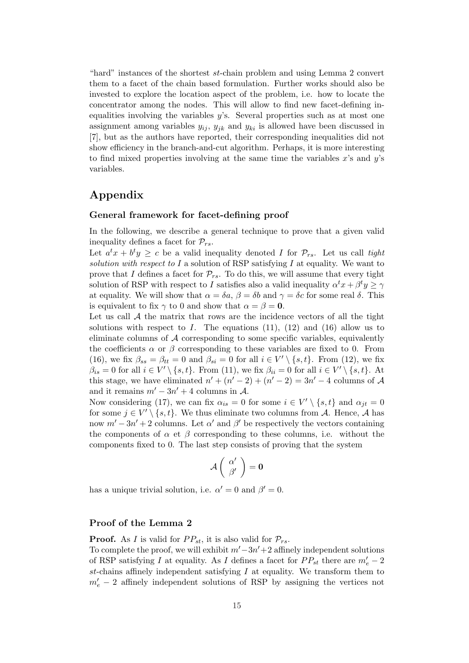"hard" instances of the shortest st-chain problem and using Lemma 2 convert them to a facet of the chain based formulation. Further works should also be invested to explore the location aspect of the problem, i.e. how to locate the concentrator among the nodes. This will allow to find new facet-defining inequalities involving the variables  $y$ 's. Several properties such as at most one assignment among variables  $y_{ij}$ ,  $y_{jk}$  and  $y_{ki}$  is allowed have been discussed in [7], but as the authors have reported, their corresponding inequalities did not show efficiency in the branch-and-cut algorithm. Perhaps, it is more interesting to find mixed properties involving at the same time the variables  $x$ 's and  $y$ 's variables.

## Appendix

### General framework for facet-defining proof

In the following, we describe a general technique to prove that a given valid inequality defines a facet for  $\mathcal{P}_{rs}$ .

Let  $a^t x + b^t y \geq c$  be a valid inequality denoted I for  $\mathcal{P}_{rs}$ . Let us call tight solution with respect to I a solution of RSP satisfying I at equality. We want to prove that I defines a facet for  $\mathcal{P}_{rs}$ . To do this, we will assume that every tight solution of RSP with respect to I satisfies also a valid inequality  $\alpha^t x + \beta^t y \ge \gamma$ at equality. We will show that  $\alpha = \delta a$ ,  $\beta = \delta b$  and  $\gamma = \delta c$  for some real  $\delta$ . This is equivalent to fix  $\gamma$  to 0 and show that  $\alpha = \beta = 0$ .

Let us call  $A$  the matrix that rows are the incidence vectors of all the tight solutions with respect to I. The equations  $(11)$ ,  $(12)$  and  $(16)$  allow us to eliminate columns of  $A$  corresponding to some specific variables, equivalently the coefficients  $\alpha$  or  $\beta$  corresponding to these variables are fixed to 0. From (16), we fix  $\beta_{ss} = \beta_{tt} = 0$  and  $\beta_{si} = 0$  for all  $i \in V' \setminus \{s, t\}$ . From (12), we fix  $\beta_{is} = 0$  for all  $i \in V' \setminus \{s, t\}$ . From (11), we fix  $\beta_{ii} = 0$  for all  $i \in V' \setminus \{s, t\}$ . At this stage, we have eliminated  $n' + (n' - 2) + (n' - 2) = 3n' - 4$  columns of A and it remains  $m' - 3n' + 4$  columns in A.

Now considering (17), we can fix  $\alpha_{is} = 0$  for some  $i \in V' \setminus \{s, t\}$  and  $\alpha_{jt} = 0$ for some  $j \in V' \setminus \{s, t\}$ . We thus eliminate two columns from A. Hence, A has now  $m' - 3n' + 2$  columns. Let  $\alpha'$  and  $\beta'$  be respectively the vectors containing the components of  $\alpha$  et  $\beta$  corresponding to these columns, i.e. without the components fixed to 0. The last step consists of proving that the system

$$
\mathcal{A}\left(\begin{array}{c} \alpha' \\ \beta' \end{array}\right)=0
$$

has a unique trivial solution, i.e.  $\alpha' = 0$  and  $\beta' = 0$ .

## Proof of the Lemma 2

**Proof.** As I is valid for  $PP_{st}$ , it is also valid for  $\mathcal{P}_{rs}$ .

To complete the proof, we will exhibit  $m'-3n'+2$  affinely independent solutions of RSP satisfying I at equality. As I defines a facet for  $PP_{st}$  there are  $m'_e - 2$ st-chains affinely independent satisfying  $I$  at equality. We transform them to  $m'_e$  – 2 affinely independent solutions of RSP by assigning the vertices not